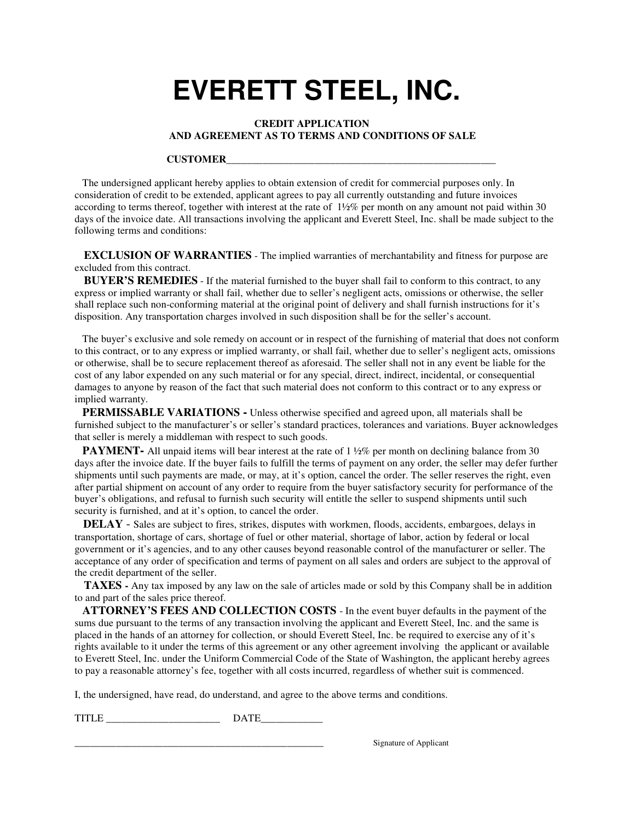## **EVERETT STEEL, INC.**

## **CREDIT APPLICATION AND AGREEMENT AS TO TERMS AND CONDITIONS OF SALE**

## **CUSTOMER**\_\_\_\_\_\_\_\_\_\_\_\_\_\_\_\_\_\_\_\_\_\_\_\_\_\_\_\_\_\_\_\_\_\_\_\_\_\_\_\_\_\_\_\_\_\_\_\_\_\_\_\_

 The undersigned applicant hereby applies to obtain extension of credit for commercial purposes only. In consideration of credit to be extended, applicant agrees to pay all currently outstanding and future invoices according to terms thereof, together with interest at the rate of  $1\frac{1}{2}\%$  per month on any amount not paid within 30 days of the invoice date. All transactions involving the applicant and Everett Steel, Inc. shall be made subject to the following terms and conditions:

**EXCLUSION OF WARRANTIES** - The implied warranties of merchantability and fitness for purpose are excluded from this contract.

 **BUYER'S REMEDIES** - If the material furnished to the buyer shall fail to conform to this contract, to any express or implied warranty or shall fail, whether due to seller's negligent acts, omissions or otherwise, the seller shall replace such non-conforming material at the original point of delivery and shall furnish instructions for it's disposition. Any transportation charges involved in such disposition shall be for the seller's account.

 The buyer's exclusive and sole remedy on account or in respect of the furnishing of material that does not conform to this contract, or to any express or implied warranty, or shall fail, whether due to seller's negligent acts, omissions or otherwise, shall be to secure replacement thereof as aforesaid. The seller shall not in any event be liable for the cost of any labor expended on any such material or for any special, direct, indirect, incidental, or consequential damages to anyone by reason of the fact that such material does not conform to this contract or to any express or implied warranty.

 **PERMISSABLE VARIATIONS -** Unless otherwise specified and agreed upon, all materials shall be furnished subject to the manufacturer's or seller's standard practices, tolerances and variations. Buyer acknowledges that seller is merely a middleman with respect to such goods.

**PAYMENT-** All unpaid items will bear interest at the rate of 1  $\frac{1}{2}\%$  per month on declining balance from 30 days after the invoice date. If the buyer fails to fulfill the terms of payment on any order, the seller may defer further shipments until such payments are made, or may, at it's option, cancel the order. The seller reserves the right, even after partial shipment on account of any order to require from the buyer satisfactory security for performance of the buyer's obligations, and refusal to furnish such security will entitle the seller to suspend shipments until such security is furnished, and at it's option, to cancel the order.

 **DELAY** - Sales are subject to fires, strikes, disputes with workmen, floods, accidents, embargoes, delays in transportation, shortage of cars, shortage of fuel or other material, shortage of labor, action by federal or local government or it's agencies, and to any other causes beyond reasonable control of the manufacturer or seller. The acceptance of any order of specification and terms of payment on all sales and orders are subject to the approval of the credit department of the seller.

**TAXES** - Any tax imposed by any law on the sale of articles made or sold by this Company shall be in addition to and part of the sales price thereof.

 **ATTORNEY'S FEES AND COLLECTION COSTS** - In the event buyer defaults in the payment of the sums due pursuant to the terms of any transaction involving the applicant and Everett Steel, Inc. and the same is placed in the hands of an attorney for collection, or should Everett Steel, Inc. be required to exercise any of it's rights available to it under the terms of this agreement or any other agreement involving the applicant or available to Everett Steel, Inc. under the Uniform Commercial Code of the State of Washington, the applicant hereby agrees to pay a reasonable attorney's fee, together with all costs incurred, regardless of whether suit is commenced.

I, the undersigned, have read, do understand, and agree to the above terms and conditions.

TITLE \_\_\_\_\_\_\_\_\_\_\_\_\_\_\_\_\_\_\_\_\_\_ DATE\_\_\_\_\_\_\_\_\_\_\_\_

\_\_\_\_\_\_\_\_\_\_\_\_\_\_\_\_\_\_\_\_\_\_\_\_\_\_\_\_\_\_\_\_\_\_\_\_\_\_\_\_\_\_\_\_\_\_\_\_ Signature of Applicant